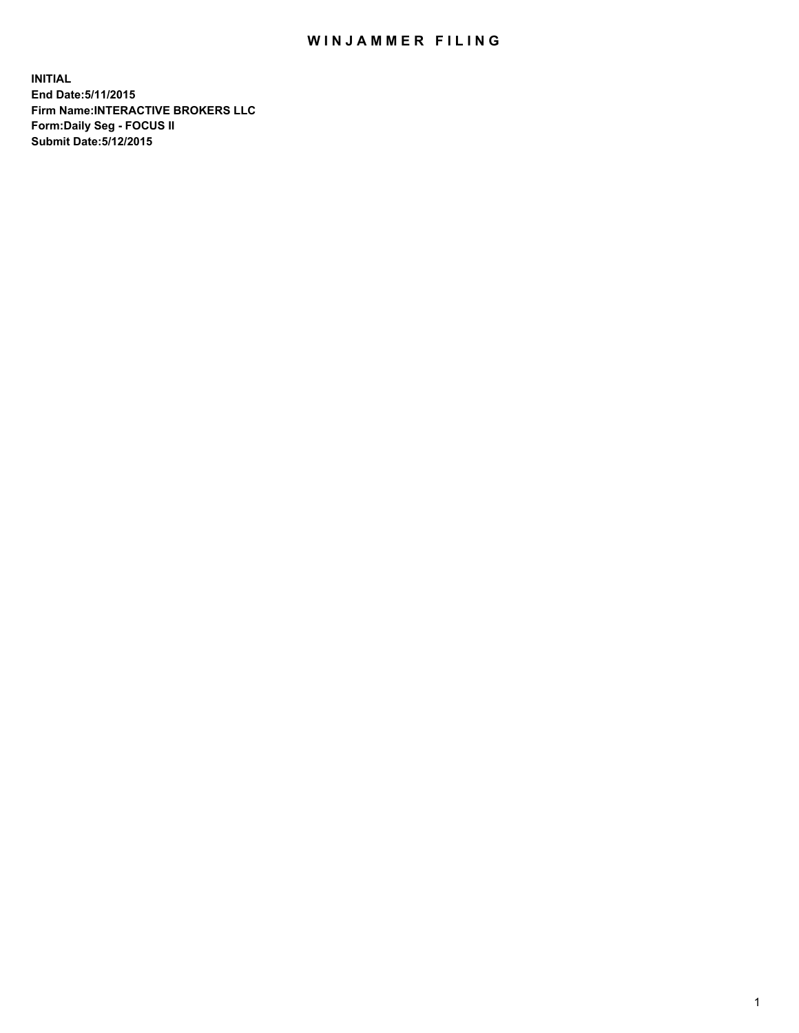## WIN JAMMER FILING

**INITIAL End Date:5/11/2015 Firm Name:INTERACTIVE BROKERS LLC Form:Daily Seg - FOCUS II Submit Date:5/12/2015**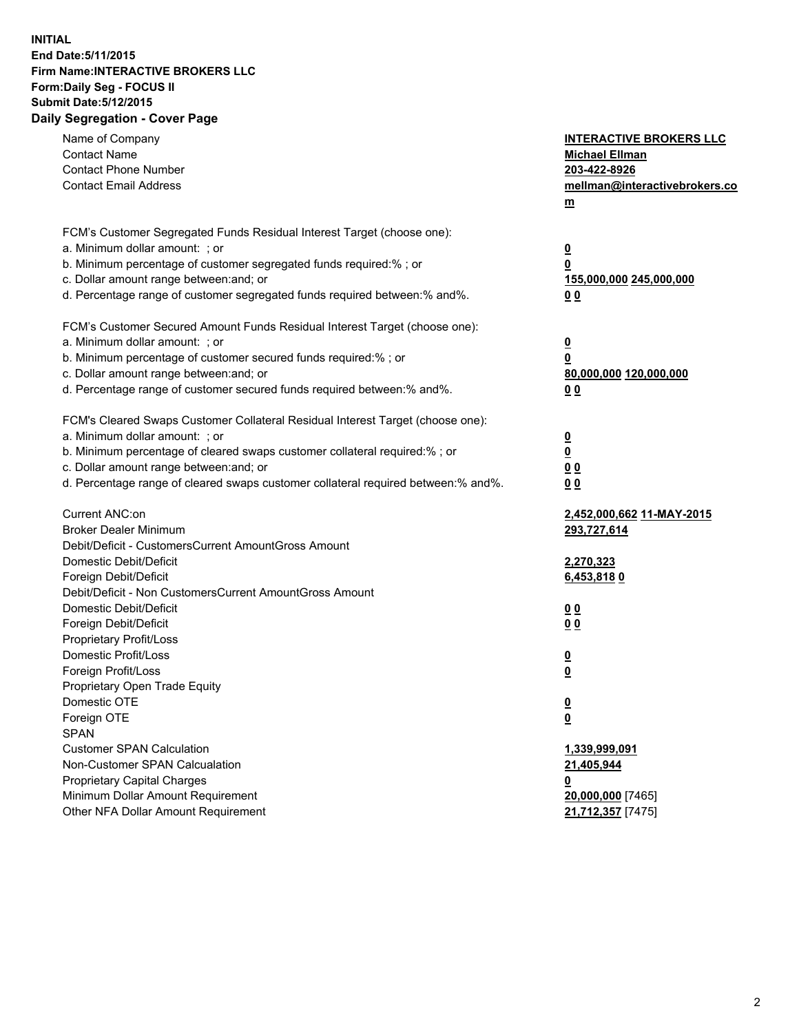## **INITIAL End Date:5/11/2015 Firm Name:INTERACTIVE BROKERS LLC Form:Daily Seg - FOCUS II Submit Date:5/12/2015 Daily Segregation - Cover Page**

| Name of Company<br><b>Contact Name</b><br><b>Contact Phone Number</b><br><b>Contact Email Address</b> | <b>INTERACTIVE BROKERS LLC</b><br><b>Michael Ellman</b><br>203-422-8926<br>mellman@interactivebrokers.co<br>$\underline{\mathbf{m}}$ |
|-------------------------------------------------------------------------------------------------------|--------------------------------------------------------------------------------------------------------------------------------------|
| FCM's Customer Segregated Funds Residual Interest Target (choose one):                                |                                                                                                                                      |
| a. Minimum dollar amount: ; or                                                                        | $\overline{\mathbf{0}}$                                                                                                              |
| b. Minimum percentage of customer segregated funds required:% ; or                                    | 0                                                                                                                                    |
| c. Dollar amount range between: and; or                                                               | 155,000,000 245,000,000                                                                                                              |
| d. Percentage range of customer segregated funds required between:% and%.                             | 00                                                                                                                                   |
| FCM's Customer Secured Amount Funds Residual Interest Target (choose one):                            |                                                                                                                                      |
| a. Minimum dollar amount: ; or                                                                        | $\overline{\mathbf{0}}$                                                                                                              |
| b. Minimum percentage of customer secured funds required:% ; or                                       | 0                                                                                                                                    |
| c. Dollar amount range between: and; or                                                               | 80,000,000 120,000,000                                                                                                               |
| d. Percentage range of customer secured funds required between:% and%.                                | 00                                                                                                                                   |
| FCM's Cleared Swaps Customer Collateral Residual Interest Target (choose one):                        |                                                                                                                                      |
| a. Minimum dollar amount: ; or                                                                        | $\overline{\mathbf{0}}$                                                                                                              |
| b. Minimum percentage of cleared swaps customer collateral required:% ; or                            | $\underline{\mathbf{0}}$                                                                                                             |
| c. Dollar amount range between: and; or                                                               | 0 <sub>0</sub>                                                                                                                       |
| d. Percentage range of cleared swaps customer collateral required between:% and%.                     | 0 <sub>0</sub>                                                                                                                       |
| Current ANC:on                                                                                        | 2,452,000,662 11-MAY-2015                                                                                                            |
| <b>Broker Dealer Minimum</b>                                                                          | 293,727,614                                                                                                                          |
| Debit/Deficit - CustomersCurrent AmountGross Amount                                                   |                                                                                                                                      |
| Domestic Debit/Deficit                                                                                | 2,270,323                                                                                                                            |
| Foreign Debit/Deficit                                                                                 | 6,453,8180                                                                                                                           |
| Debit/Deficit - Non CustomersCurrent AmountGross Amount                                               |                                                                                                                                      |
| Domestic Debit/Deficit                                                                                | 0 <sub>0</sub>                                                                                                                       |
| Foreign Debit/Deficit<br>Proprietary Profit/Loss                                                      | 0 <sub>0</sub>                                                                                                                       |
| Domestic Profit/Loss                                                                                  |                                                                                                                                      |
| Foreign Profit/Loss                                                                                   | $\overline{\mathbf{0}}$<br>$\underline{\mathbf{0}}$                                                                                  |
| Proprietary Open Trade Equity                                                                         |                                                                                                                                      |
| Domestic OTE                                                                                          | <u>0</u>                                                                                                                             |
| Foreign OTE                                                                                           | <u>0</u>                                                                                                                             |
| <b>SPAN</b>                                                                                           |                                                                                                                                      |
| <b>Customer SPAN Calculation</b>                                                                      | 1,339,999,091                                                                                                                        |
| Non-Customer SPAN Calcualation                                                                        | 21,405,944                                                                                                                           |
| <b>Proprietary Capital Charges</b>                                                                    | 0                                                                                                                                    |
| Minimum Dollar Amount Requirement                                                                     | 20,000,000 [7465]                                                                                                                    |
| Other NFA Dollar Amount Requirement                                                                   | 21,712,357 [7475]                                                                                                                    |
|                                                                                                       |                                                                                                                                      |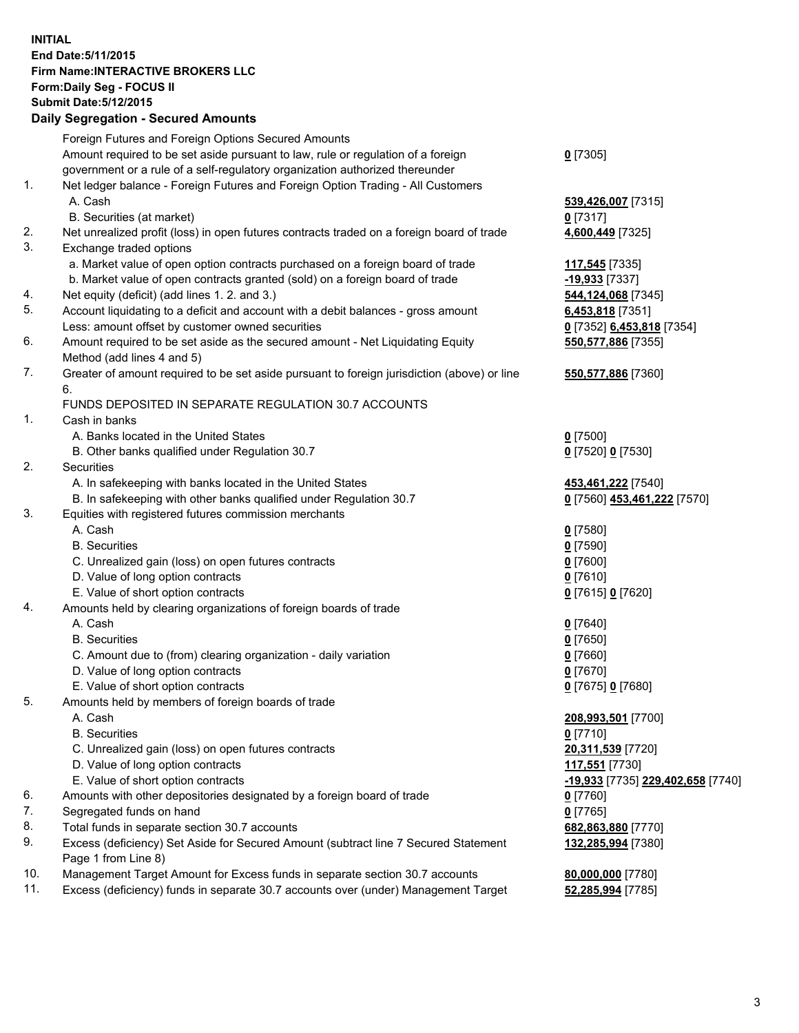## **INITIAL End Date:5/11/2015 Firm Name:INTERACTIVE BROKERS LLC Form:Daily Seg - FOCUS II Submit Date:5/12/2015 Daily Segregation - Secured Amounts**

|     | Foreign Futures and Foreign Options Secured Amounts                                         |                                   |
|-----|---------------------------------------------------------------------------------------------|-----------------------------------|
|     | Amount required to be set aside pursuant to law, rule or regulation of a foreign            | $0$ [7305]                        |
|     | government or a rule of a self-regulatory organization authorized thereunder                |                                   |
| 1.  | Net ledger balance - Foreign Futures and Foreign Option Trading - All Customers             |                                   |
|     | A. Cash                                                                                     | 539,426,007 [7315]                |
|     | B. Securities (at market)                                                                   | $0$ [7317]                        |
| 2.  | Net unrealized profit (loss) in open futures contracts traded on a foreign board of trade   | 4,600,449 [7325]                  |
| 3.  | Exchange traded options                                                                     |                                   |
|     | a. Market value of open option contracts purchased on a foreign board of trade              | 117,545 [7335]                    |
|     | b. Market value of open contracts granted (sold) on a foreign board of trade                | <u>-19,933</u> [7337]             |
| 4.  | Net equity (deficit) (add lines 1. 2. and 3.)                                               | 544,124,068 [7345]                |
| 5.  | Account liquidating to a deficit and account with a debit balances - gross amount           | 6,453,818 [7351]                  |
|     | Less: amount offset by customer owned securities                                            | 0 [7352] 6,453,818 [7354]         |
| 6.  | Amount required to be set aside as the secured amount - Net Liquidating Equity              | 550, 577, 886 [7355]              |
|     | Method (add lines 4 and 5)                                                                  |                                   |
| 7.  | Greater of amount required to be set aside pursuant to foreign jurisdiction (above) or line | 550,577,886 [7360]                |
|     | 6.                                                                                          |                                   |
|     | FUNDS DEPOSITED IN SEPARATE REGULATION 30.7 ACCOUNTS                                        |                                   |
| 1.  | Cash in banks                                                                               |                                   |
|     | A. Banks located in the United States                                                       | $0$ [7500]                        |
|     | B. Other banks qualified under Regulation 30.7                                              | 0 [7520] 0 [7530]                 |
| 2.  | Securities                                                                                  |                                   |
|     | A. In safekeeping with banks located in the United States                                   | 453,461,222 [7540]                |
|     | B. In safekeeping with other banks qualified under Regulation 30.7                          | 0 [7560] 453,461,222 [7570]       |
| 3.  | Equities with registered futures commission merchants                                       |                                   |
|     | A. Cash                                                                                     | $0$ [7580]                        |
|     | <b>B.</b> Securities                                                                        | $0$ [7590]                        |
|     | C. Unrealized gain (loss) on open futures contracts                                         | $0$ [7600]                        |
|     | D. Value of long option contracts                                                           | $0$ [7610]                        |
|     | E. Value of short option contracts                                                          | 0 [7615] 0 [7620]                 |
| 4.  | Amounts held by clearing organizations of foreign boards of trade                           |                                   |
|     | A. Cash                                                                                     | $0$ [7640]                        |
|     | <b>B.</b> Securities                                                                        | $0$ [7650]                        |
|     | C. Amount due to (from) clearing organization - daily variation                             | $0$ [7660]                        |
|     | D. Value of long option contracts                                                           | $0$ [7670]                        |
|     | E. Value of short option contracts                                                          | 0 [7675] 0 [7680]                 |
| 5.  | Amounts held by members of foreign boards of trade                                          |                                   |
|     | A. Cash                                                                                     | 208,993,501 [7700]                |
|     | <b>B.</b> Securities                                                                        | $0$ [7710]                        |
|     | C. Unrealized gain (loss) on open futures contracts                                         | 20,311,539 [7720]                 |
|     | D. Value of long option contracts                                                           | 117,551 [7730]                    |
|     | E. Value of short option contracts                                                          | -19,933 [7735] 229,402,658 [7740] |
| 6.  | Amounts with other depositories designated by a foreign board of trade                      | 0 [7760]                          |
| 7.  | Segregated funds on hand                                                                    | $0$ [7765]                        |
| 8.  | Total funds in separate section 30.7 accounts                                               | 682,863,880 [7770]                |
| 9.  | Excess (deficiency) Set Aside for Secured Amount (subtract line 7 Secured Statement         | 132,285,994 [7380]                |
|     | Page 1 from Line 8)                                                                         |                                   |
| 10. | Management Target Amount for Excess funds in separate section 30.7 accounts                 | 80,000,000 [7780]                 |
| 11. | Excess (deficiency) funds in separate 30.7 accounts over (under) Management Target          | 52,285,994 [7785]                 |
|     |                                                                                             |                                   |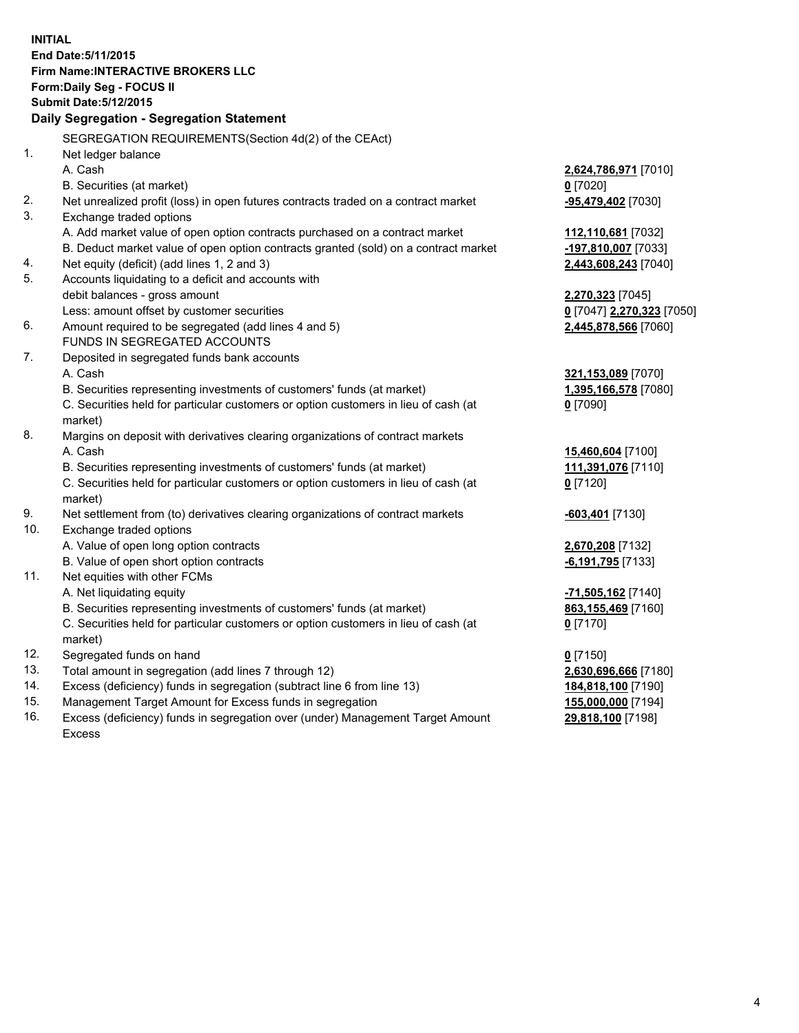**INITIAL End Date:5/11/2015 Firm Name:INTERACTIVE BROKERS LLC Form:Daily Seg - FOCUS II Submit Date:5/12/2015 Daily Segregation - Segregation Statement** SEGREGATION REQUIREMENTS(Section 4d(2) of the CEAct) 1. Net ledger balance A. Cash **2,624,786,971** [7010] B. Securities (at market) **0** [7020] 2. Net unrealized profit (loss) in open futures contracts traded on a contract market **-95,479,402** [7030] 3. Exchange traded options A. Add market value of open option contracts purchased on a contract market **112,110,681** [7032] B. Deduct market value of open option contracts granted (sold) on a contract market **-197,810,007** [7033] 4. Net equity (deficit) (add lines 1, 2 and 3) **2,443,608,243** [7040] 5. Accounts liquidating to a deficit and accounts with debit balances - gross amount **2,270,323** [7045] Less: amount offset by customer securities **0** [7047] **2,270,323** [7050] 6. Amount required to be segregated (add lines 4 and 5) **2,445,878,566** [7060] FUNDS IN SEGREGATED ACCOUNTS 7. Deposited in segregated funds bank accounts A. Cash **321,153,089** [7070] B. Securities representing investments of customers' funds (at market) **1,395,166,578** [7080] C. Securities held for particular customers or option customers in lieu of cash (at market) **0** [7090] 8. Margins on deposit with derivatives clearing organizations of contract markets A. Cash **15,460,604** [7100] B. Securities representing investments of customers' funds (at market) **111,391,076** [7110] C. Securities held for particular customers or option customers in lieu of cash (at market) **0** [7120] 9. Net settlement from (to) derivatives clearing organizations of contract markets **-603,401** [7130] 10. Exchange traded options A. Value of open long option contracts **2,670,208** [7132] B. Value of open short option contracts **-6,191,795** [7133] 11. Net equities with other FCMs A. Net liquidating equity **-71,505,162** [7140] B. Securities representing investments of customers' funds (at market) **863,155,469** [7160] C. Securities held for particular customers or option customers in lieu of cash (at market) **0** [7170] 12. Segregated funds on hand **0** [7150] 13. Total amount in segregation (add lines 7 through 12) **2,630,696,666** [7180] 14. Excess (deficiency) funds in segregation (subtract line 6 from line 13) **184,818,100** [7190] 15. Management Target Amount for Excess funds in segregation **155,000,000** [7194]

16. Excess (deficiency) funds in segregation over (under) Management Target Amount Excess

**29,818,100** [7198]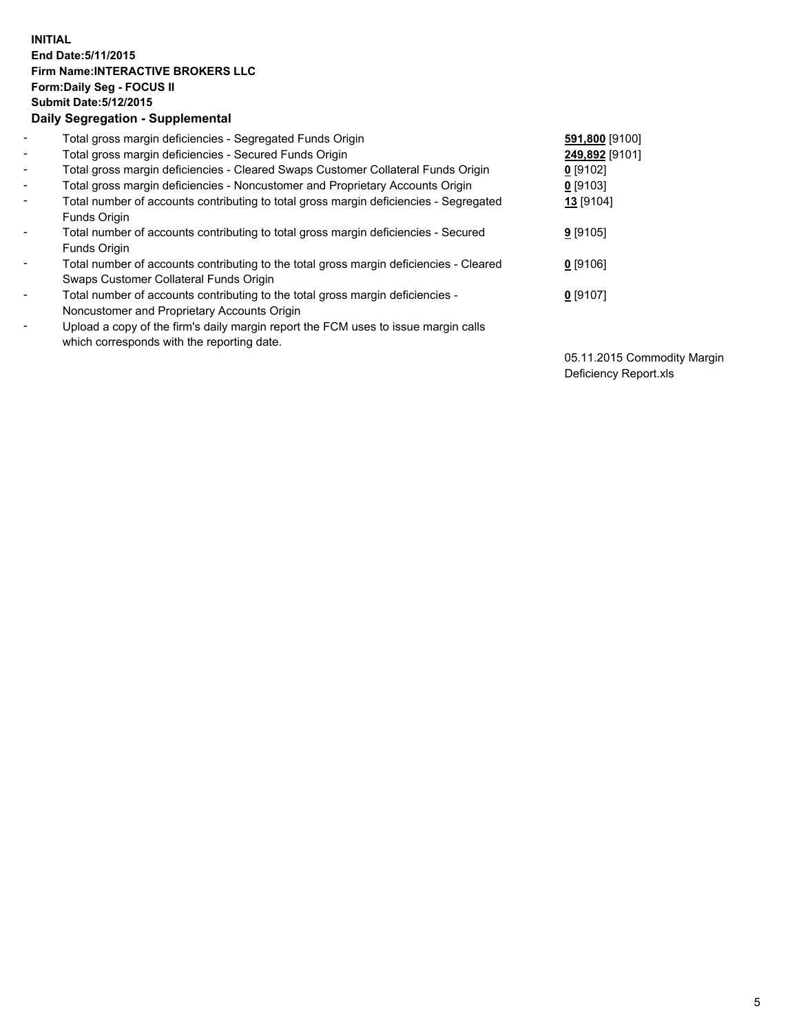## **INITIAL End Date:5/11/2015 Firm Name:INTERACTIVE BROKERS LLC Form:Daily Seg - FOCUS II Submit Date:5/12/2015 Daily Segregation - Supplemental**

| $\blacksquare$           | Total gross margin deficiencies - Segregated Funds Origin                              | 591,800 [9100] |
|--------------------------|----------------------------------------------------------------------------------------|----------------|
| $\blacksquare$           | Total gross margin deficiencies - Secured Funds Origin                                 | 249,892 [9101] |
| $\blacksquare$           | Total gross margin deficiencies - Cleared Swaps Customer Collateral Funds Origin       | $0$ [9102]     |
| $\blacksquare$           | Total gross margin deficiencies - Noncustomer and Proprietary Accounts Origin          | 0 [9103]       |
| $\blacksquare$           | Total number of accounts contributing to total gross margin deficiencies - Segregated  | 13 [9104]      |
|                          | <b>Funds Origin</b>                                                                    |                |
| $\blacksquare$           | Total number of accounts contributing to total gross margin deficiencies - Secured     | $9$ [9105]     |
|                          | Funds Origin                                                                           |                |
| $\overline{\phantom{a}}$ | Total number of accounts contributing to the total gross margin deficiencies - Cleared | $0$ [9106]     |
|                          | Swaps Customer Collateral Funds Origin                                                 |                |
| $\blacksquare$           | Total number of accounts contributing to the total gross margin deficiencies -         | $0$ [9107]     |
|                          | Noncustomer and Proprietary Accounts Origin                                            |                |
| $\blacksquare$           | Upload a copy of the firm's daily margin report the FCM uses to issue margin calls     |                |
|                          | which corresponds with the reporting date.                                             |                |

05.11.2015 Commodity Margin Deficiency Report.xls